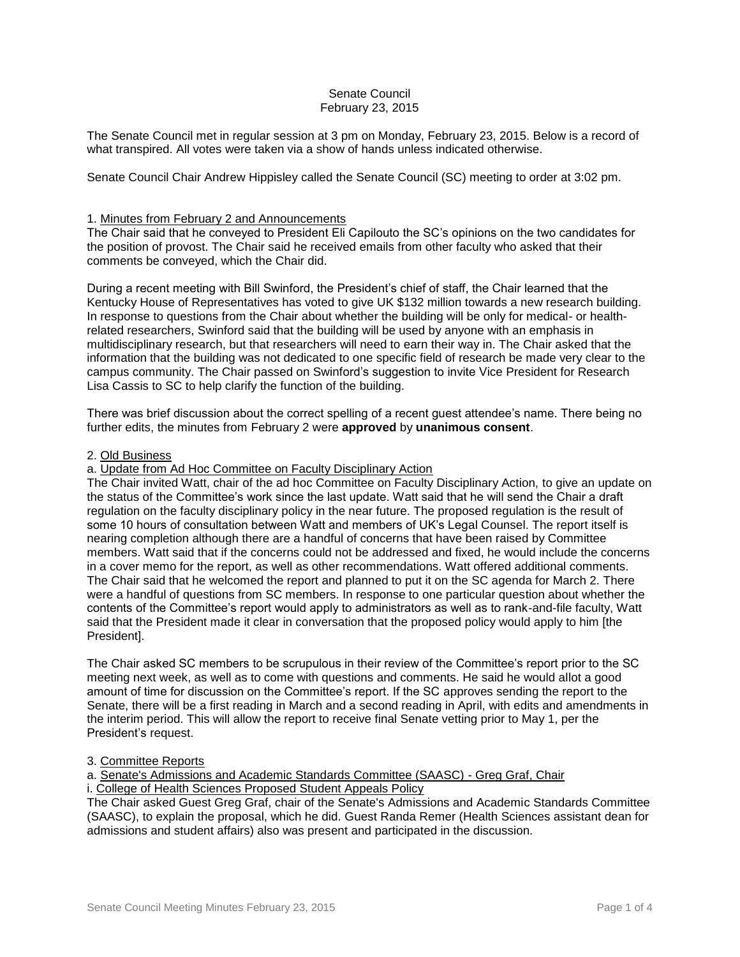# Senate Council February 23, 2015

The Senate Council met in regular session at 3 pm on Monday, February 23, 2015. Below is a record of what transpired. All votes were taken via a show of hands unless indicated otherwise.

Senate Council Chair Andrew Hippisley called the Senate Council (SC) meeting to order at 3:02 pm.

## 1. Minutes from February 2 and Announcements

The Chair said that he conveyed to President Eli Capilouto the SC's opinions on the two candidates for the position of provost. The Chair said he received emails from other faculty who asked that their comments be conveyed, which the Chair did.

During a recent meeting with Bill Swinford, the President's chief of staff, the Chair learned that the Kentucky House of Representatives has voted to give UK \$132 million towards a new research building. In response to questions from the Chair about whether the building will be only for medical- or healthrelated researchers, Swinford said that the building will be used by anyone with an emphasis in multidisciplinary research, but that researchers will need to earn their way in. The Chair asked that the information that the building was not dedicated to one specific field of research be made very clear to the campus community. The Chair passed on Swinford's suggestion to invite Vice President for Research Lisa Cassis to SC to help clarify the function of the building.

There was brief discussion about the correct spelling of a recent guest attendee's name. There being no further edits, the minutes from February 2 were **approved** by **unanimous consent**.

## 2. Old Business

## a. Update from Ad Hoc Committee on Faculty Disciplinary Action

The Chair invited Watt, chair of the ad hoc Committee on Faculty Disciplinary Action, to give an update on the status of the Committee's work since the last update. Watt said that he will send the Chair a draft regulation on the faculty disciplinary policy in the near future. The proposed regulation is the result of some 10 hours of consultation between Watt and members of UK's Legal Counsel. The report itself is nearing completion although there are a handful of concerns that have been raised by Committee members. Watt said that if the concerns could not be addressed and fixed, he would include the concerns in a cover memo for the report, as well as other recommendations. Watt offered additional comments. The Chair said that he welcomed the report and planned to put it on the SC agenda for March 2. There were a handful of questions from SC members. In response to one particular question about whether the contents of the Committee's report would apply to administrators as well as to rank-and-file faculty, Watt said that the President made it clear in conversation that the proposed policy would apply to him [the President].

The Chair asked SC members to be scrupulous in their review of the Committee's report prior to the SC meeting next week, as well as to come with questions and comments. He said he would allot a good amount of time for discussion on the Committee's report. If the SC approves sending the report to the Senate, there will be a first reading in March and a second reading in April, with edits and amendments in the interim period. This will allow the report to receive final Senate vetting prior to May 1, per the President's request.

## 3. Committee Reports

a. Senate's Admissions and Academic Standards Committee (SAASC) - Greg Graf, Chair

# i. College of Health Sciences Proposed Student Appeals Policy

The Chair asked Guest Greg Graf, chair of the Senate's Admissions and Academic Standards Committee (SAASC), to explain the proposal, which he did. Guest Randa Remer (Health Sciences assistant dean for admissions and student affairs) also was present and participated in the discussion.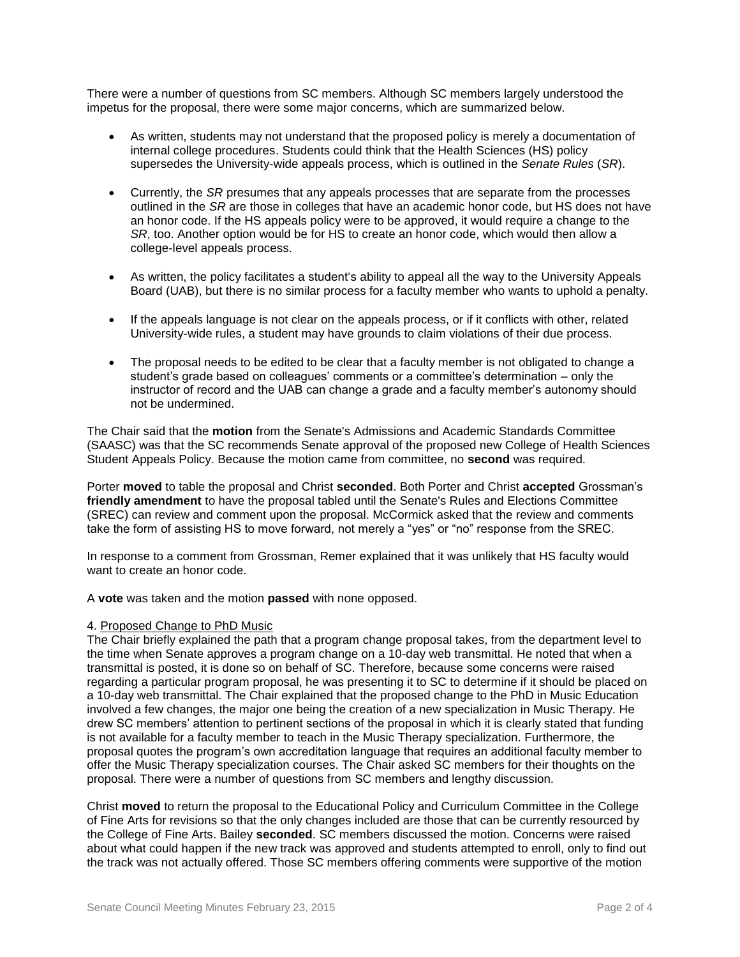There were a number of questions from SC members. Although SC members largely understood the impetus for the proposal, there were some major concerns, which are summarized below.

- As written, students may not understand that the proposed policy is merely a documentation of internal college procedures. Students could think that the Health Sciences (HS) policy supersedes the University-wide appeals process, which is outlined in the *Senate Rules* (*SR*).
- Currently, the *SR* presumes that any appeals processes that are separate from the processes outlined in the *SR* are those in colleges that have an academic honor code, but HS does not have an honor code. If the HS appeals policy were to be approved, it would require a change to the *SR*, too. Another option would be for HS to create an honor code, which would then allow a college-level appeals process.
- As written, the policy facilitates a student's ability to appeal all the way to the University Appeals Board (UAB), but there is no similar process for a faculty member who wants to uphold a penalty.
- If the appeals language is not clear on the appeals process, or if it conflicts with other, related University-wide rules, a student may have grounds to claim violations of their due process.
- The proposal needs to be edited to be clear that a faculty member is not obligated to change a student's grade based on colleagues' comments or a committee's determination – only the instructor of record and the UAB can change a grade and a faculty member's autonomy should not be undermined.

The Chair said that the **motion** from the Senate's Admissions and Academic Standards Committee (SAASC) was that the SC recommends Senate approval of the proposed new College of Health Sciences Student Appeals Policy. Because the motion came from committee, no **second** was required.

Porter **moved** to table the proposal and Christ **seconded**. Both Porter and Christ **accepted** Grossman's **friendly amendment** to have the proposal tabled until the Senate's Rules and Elections Committee (SREC) can review and comment upon the proposal. McCormick asked that the review and comments take the form of assisting HS to move forward, not merely a "yes" or "no" response from the SREC.

In response to a comment from Grossman, Remer explained that it was unlikely that HS faculty would want to create an honor code.

A **vote** was taken and the motion **passed** with none opposed.

## 4. Proposed Change to PhD Music

The Chair briefly explained the path that a program change proposal takes, from the department level to the time when Senate approves a program change on a 10-day web transmittal. He noted that when a transmittal is posted, it is done so on behalf of SC. Therefore, because some concerns were raised regarding a particular program proposal, he was presenting it to SC to determine if it should be placed on a 10-day web transmittal. The Chair explained that the proposed change to the PhD in Music Education involved a few changes, the major one being the creation of a new specialization in Music Therapy. He drew SC members' attention to pertinent sections of the proposal in which it is clearly stated that funding is not available for a faculty member to teach in the Music Therapy specialization. Furthermore, the proposal quotes the program's own accreditation language that requires an additional faculty member to offer the Music Therapy specialization courses. The Chair asked SC members for their thoughts on the proposal. There were a number of questions from SC members and lengthy discussion.

Christ **moved** to return the proposal to the Educational Policy and Curriculum Committee in the College of Fine Arts for revisions so that the only changes included are those that can be currently resourced by the College of Fine Arts. Bailey **seconded**. SC members discussed the motion. Concerns were raised about what could happen if the new track was approved and students attempted to enroll, only to find out the track was not actually offered. Those SC members offering comments were supportive of the motion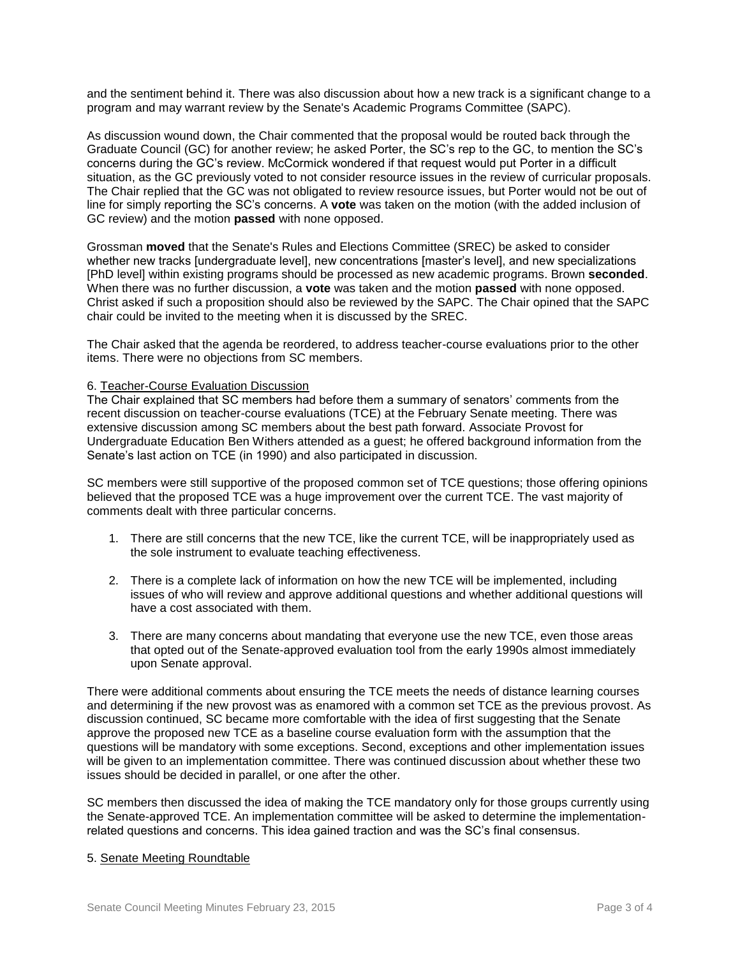and the sentiment behind it. There was also discussion about how a new track is a significant change to a program and may warrant review by the Senate's Academic Programs Committee (SAPC).

As discussion wound down, the Chair commented that the proposal would be routed back through the Graduate Council (GC) for another review; he asked Porter, the SC's rep to the GC, to mention the SC's concerns during the GC's review. McCormick wondered if that request would put Porter in a difficult situation, as the GC previously voted to not consider resource issues in the review of curricular proposals. The Chair replied that the GC was not obligated to review resource issues, but Porter would not be out of line for simply reporting the SC's concerns. A **vote** was taken on the motion (with the added inclusion of GC review) and the motion **passed** with none opposed.

Grossman **moved** that the Senate's Rules and Elections Committee (SREC) be asked to consider whether new tracks [undergraduate level], new concentrations [master's level], and new specializations [PhD level] within existing programs should be processed as new academic programs. Brown **seconded**. When there was no further discussion, a **vote** was taken and the motion **passed** with none opposed. Christ asked if such a proposition should also be reviewed by the SAPC. The Chair opined that the SAPC chair could be invited to the meeting when it is discussed by the SREC.

The Chair asked that the agenda be reordered, to address teacher-course evaluations prior to the other items. There were no objections from SC members.

### 6. Teacher-Course Evaluation Discussion

The Chair explained that SC members had before them a summary of senators' comments from the recent discussion on teacher-course evaluations (TCE) at the February Senate meeting. There was extensive discussion among SC members about the best path forward. Associate Provost for Undergraduate Education Ben Withers attended as a guest; he offered background information from the Senate's last action on TCE (in 1990) and also participated in discussion.

SC members were still supportive of the proposed common set of TCE questions; those offering opinions believed that the proposed TCE was a huge improvement over the current TCE. The vast majority of comments dealt with three particular concerns.

- 1. There are still concerns that the new TCE, like the current TCE, will be inappropriately used as the sole instrument to evaluate teaching effectiveness.
- 2. There is a complete lack of information on how the new TCE will be implemented, including issues of who will review and approve additional questions and whether additional questions will have a cost associated with them.
- 3. There are many concerns about mandating that everyone use the new TCE, even those areas that opted out of the Senate-approved evaluation tool from the early 1990s almost immediately upon Senate approval.

There were additional comments about ensuring the TCE meets the needs of distance learning courses and determining if the new provost was as enamored with a common set TCE as the previous provost. As discussion continued, SC became more comfortable with the idea of first suggesting that the Senate approve the proposed new TCE as a baseline course evaluation form with the assumption that the questions will be mandatory with some exceptions. Second, exceptions and other implementation issues will be given to an implementation committee. There was continued discussion about whether these two issues should be decided in parallel, or one after the other.

SC members then discussed the idea of making the TCE mandatory only for those groups currently using the Senate-approved TCE. An implementation committee will be asked to determine the implementationrelated questions and concerns. This idea gained traction and was the SC's final consensus.

### 5. Senate Meeting Roundtable